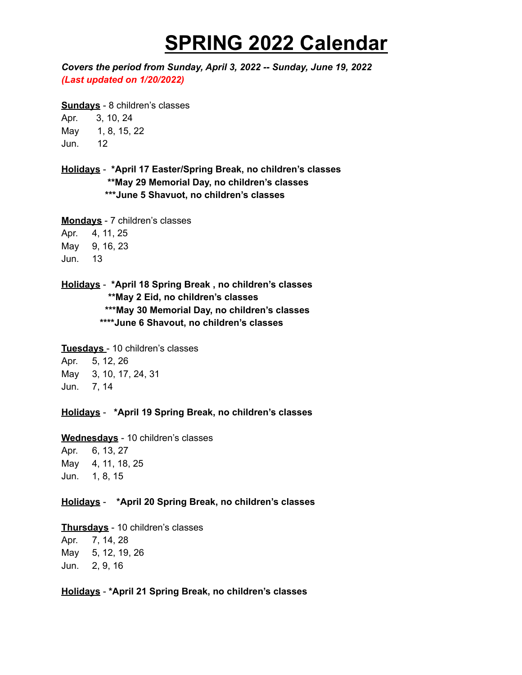## **SPRING 2022 Calendar**

*Covers the period from Sunday, April 3, 2022 -- Sunday, June 19, 2022 (Last updated on 1/20/2022)*

**Sundays** - 8 children's classes Apr. 3, 10, 24 May 1, 8, 15, 22 Jun. 12

**Holidays** - **\*April 17 Easter/Spring Break, no children's classes \*\*May 29 Memorial Day, no children's classes \*\*\*June 5 Shavuot, no children's classes**

**Mondays** - 7 children's classes Apr. 4, 11, 25 May 9, 16, 23 Jun. 13

**Holidays** - **\*April 18 Spring Break , no children's classes \*\*May 2 Eid, no children's classes \*\*\*May 30 Memorial Day, no children's classes \*\*\*\*June 6 Shavout, no children's classes**

**Tuesdays** - 10 children's classes Apr. 5, 12, 26 May 3, 10, 17, 24, 31

Jun. 7, 14

**Holidays** - **\*April 19 Spring Break, no children's classes**

**Wednesdays** - 10 children's classes Apr. 6, 13, 27 May 4, 11, 18, 25 Jun. 1, 8, 15

## **Holidays** - **\*April 20 Spring Break, no children's classes**

**Thursdays** - 10 children's classes Apr. 7, 14, 28 May 5, 12, 19, 26 Jun. 2, 9, 16

**Holidays** - **\*April 21 Spring Break, no children's classes**